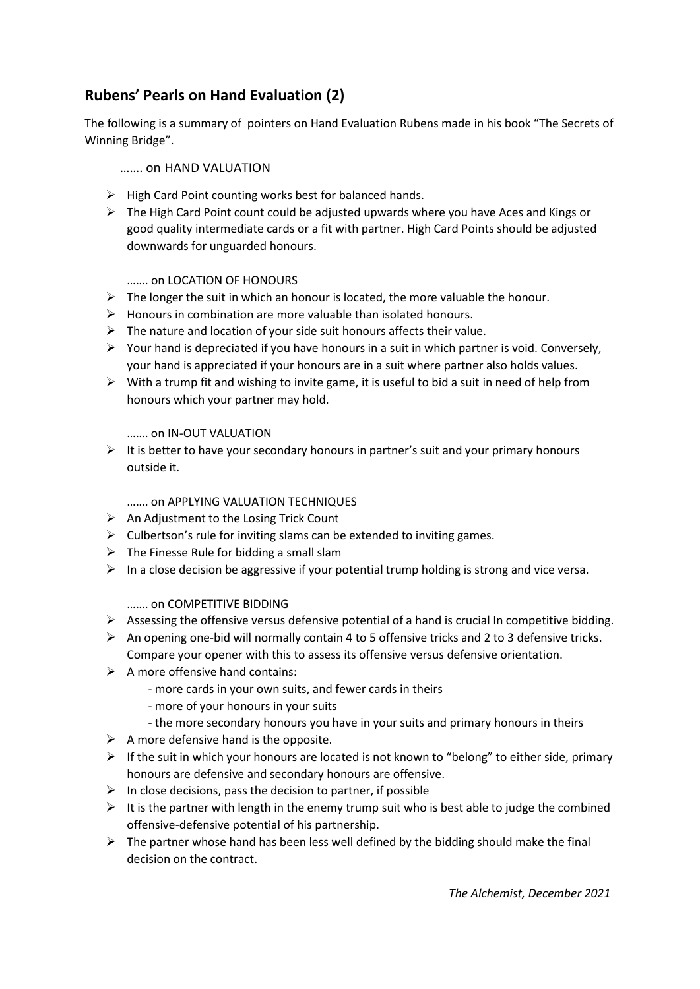# **Rubens' Pearls on Hand Evaluation (2)**

The following is a summary of pointers on Hand Evaluation Rubens made in his book "The Secrets of Winning Bridge".

#### ……. on HAND VALUATION

- $\triangleright$  High Card Point counting works best for balanced hands.
- $\triangleright$  The High Card Point count could be adjusted upwards where you have Aces and Kings or good quality intermediate cards or a fit with partner. High Card Points should be adjusted downwards for unguarded honours.

#### ……. on LOCATION OF HONOURS

- $\triangleright$  The longer the suit in which an honour is located, the more valuable the honour.
- ➢ Honours in combination are more valuable than isolated honours.
- $\triangleright$  The nature and location of your side suit honours affects their value.
- $\triangleright$  Your hand is depreciated if you have honours in a suit in which partner is void. Conversely, your hand is appreciated if your honours are in a suit where partner also holds values.
- $\triangleright$  With a trump fit and wishing to invite game, it is useful to bid a suit in need of help from honours which your partner may hold.

### ……. on IN-OUT VALUATION

 $\triangleright$  It is better to have your secondary honours in partner's suit and your primary honours outside it.

## ……. on APPLYING VALUATION TECHNIQUES

- $\triangleright$  An Adjustment to the Losing Trick Count
- $\triangleright$  Culbertson's rule for inviting slams can be extended to inviting games.
- $\triangleright$  The Finesse Rule for bidding a small slam
- $\triangleright$  In a close decision be aggressive if your potential trump holding is strong and vice versa.

### ……. on COMPETITIVE BIDDING

- $\triangleright$  Assessing the offensive versus defensive potential of a hand is crucial In competitive bidding.
- $\triangleright$  An opening one-bid will normally contain 4 to 5 offensive tricks and 2 to 3 defensive tricks. Compare your opener with this to assess its offensive versus defensive orientation.
- $\triangleright$  A more offensive hand contains:
	- more cards in your own suits, and fewer cards in theirs
	- more of your honours in your suits
	- the more secondary honours you have in your suits and primary honours in theirs
- $\triangleright$  A more defensive hand is the opposite.
- $\triangleright$  If the suit in which your honours are located is not known to "belong" to either side, primary honours are defensive and secondary honours are offensive.
- $\triangleright$  In close decisions, pass the decision to partner, if possible
- $\triangleright$  It is the partner with length in the enemy trump suit who is best able to judge the combined offensive-defensive potential of his partnership.
- $\triangleright$  The partner whose hand has been less well defined by the bidding should make the final decision on the contract.